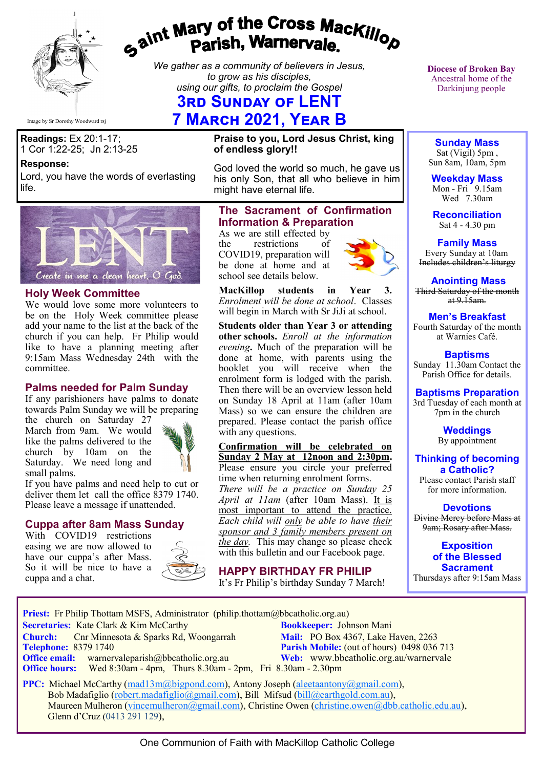

# gaint Mary of the Cross Mackillop<br>Parish, Warnervale.

*We gather as a community of believers in Jesus, to grow as his disciples, using our gifts, to proclaim the Gospel*

# **3rd Sunday of LENT**

# **7 March 2021, Year B**

**Readings:** Ex 20:1-17; 1 Cor 1:22-25; Jn 2:13-25

#### **Response:**

Lord, you have the words of everlasting life.



#### **Holy Week Committee**

We would love some more volunteers to be on the Holy Week committee please add your name to the list at the back of the church if you can help. Fr Philip would like to have a planning meeting after 9:15am Mass Wednesday 24th with the committee.

#### **Palms needed for Palm Sunday**

If any parishioners have palms to donate towards Palm Sunday we will be preparing

the church on Saturday 27 March from 9am. We would like the palms delivered to the church by 10am on the Saturday. We need long and small palms.



If you have palms and need help to cut or deliver them let call the office 8379 1740. Please leave a message if unattended.

#### **Cuppa after 8am Mass Sunday**

With COVID19 restrictions easing we are now allowed to have our cuppa's after Mass. So it will be nice to have a cuppa and a chat.



**Praise to you, Lord Jesus Christ, king of endless glory!!**

God loved the world so much, he gave us his only Son, that all who believe in him might have eternal life.

#### **The Sacrament of Confirmation Information & Preparation**

As we are still effected by<br>the restrictions of the restrictions COVID19, preparation will be done at home and at school see details below.



**MacKillop students in Year 3.**  *Enrolment will be done at school*. Classes will begin in March with Sr JiJi at school.

**Students older than Year 3 or attending other schools.** *Enroll at the information evening***.** Much of the preparation will be done at home, with parents using the booklet you will receive when the enrolment form is lodged with the parish. Then there will be an overview lesson held on Sunday 18 April at 11am (after 10am Mass) so we can ensure the children are prepared. Please contact the parish office with any questions.

#### **Confirmation will be celebrated on Sunday 2 May at 12noon and 2:30pm.**  Please ensure you circle your preferred time when returning enrolment forms. *There will be a practice on Sunday 25 April at 11am* (after 10am Mass). It is most important to attend the practice. *Each child will only be able to have their sponsor and 3 family members present on the day*. This may change so please check with this bulletin and our Facebook page.

**HAPPY BIRTHDAY FR PHILIP**

It's Fr Philip's birthday Sunday 7 March!

**Diocese of Broken Bay**  Ancestral home of the Darkinjung people

**Sunday Mass** Sat (Vigil) 5pm , Sun 8am, 10am, 5pm

**Weekday Mass** Mon - Fri  $9.15$ am Wed 7.30am

**Reconciliation** Sat 4 - 4.30 pm

**Family Mass**  Every Sunday at 10am Includes children's liturgy

**Anointing Mass** Third Saturday of the month at  $9.15$ am.

#### **Men's Breakfast**

Fourth Saturday of the month at Warnies Café.

**Baptisms** Sunday 11.30am Contact the Parish Office for details.

#### **Baptisms Preparation**

3rd Tuesday of each month at 7pm in the church

> **Weddings**  By appointment

**Thinking of becoming a Catholic?**

Please contact Parish staff for more information.

**Devotions**

Divine Mercy before Mass at 9am; Rosary after Mass.

**Exposition of the Blessed Sacrament** Thursdays after 9:15am Mass

**Priest:** Fr Philip Thottam MSFS, Administrator (philip.thottam@bbcatholic.org.au)

 **Secretaries:** Kate Clark & Kim McCarthy **Bookkeeper:** Johnson Mani **Church:** Cnr Minnesota & Sparks Rd, Woongarrah **Mail:** PO Box 4367, Lake Haven, 2263<br> **Telephone:** 8379 1740 **Parish Mobile:** (out of hours) 0498 036 **Office email:** warnervaleparish@bbcatholic.org.au **Web:** [www.bbcatholic.org.au/warnervale](https://www.bbcatholic.org.au/warnervale)

**Parish Mobile:** (out of hours) 0498 036 713  **Office hours:** Wed 8:30am - 4pm, Thurs 8.30am - 2pm, Fri 8.30am - 2.30pm

**PPC:** Michael McCarthy ([mad13m@bigpond.com\),](mailto:mad13m@bigpond.com) Antony Joseph ([aleetaantony@gmail.com\)](mailto:aleetaantony@gmail.com), Bob Madafiglio ([robert.madafiglio@gmail.com\),](mailto:robert.madafiglio@gmail.com) Bill Mifsud ([bill@earthgold.com.au\),](mailto:bill@earthgold.com.au) Maureen Mulheron [\(vincemulheron@gmail.com\),](mailto:vincemulheron@gmail.com) Christine Owen (christine.owe[n@dbb.catholic.edu.au\),](mailto:ann.jackson@dbb.catholic.edu.au) Glenn d'Cruz (0413 291 129),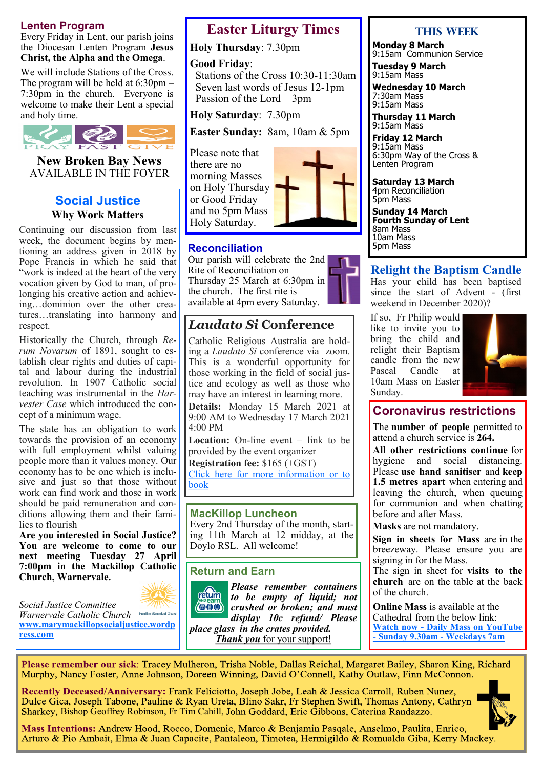#### **Lenten Program**

Every Friday in Lent, our parish joins the Diocesan Lenten Program **Jesus Christ, the Alpha and the Omega**.

We will include Stations of the Cross. The program will be held at 6:30pm – 7:30pm in the church. Everyone is welcome to make their Lent a special and holy time.



**New Broken Bay News** AVAILABLE IN THE FOYER

#### **Social Justice Why Work Matters**

Continuing our discussion from last week, the document begins by mentioning an address given in 2018 by Pope Francis in which he said that "work is indeed at the heart of the very vocation given by God to man, of prolonging his creative action and achieving…dominion over the other creatures…translating into harmony and respect.

Historically the Church, through *Rerum Novarum* of 1891, sought to establish clear rights and duties of capital and labour during the industrial revolution. In 1907 Catholic social teaching was instrumental in the *Harvester Case* which introduced the concept of a minimum wage.

The state has an obligation to work towards the provision of an economy with full employment whilst valuing people more than it values money. Our economy has to be one which is inclusive and just so that those without work can find work and those in work should be paid remuneration and conditions allowing them and their families to flourish

**Are you interested in Social Justice? You are welcome to come to our next meeting Tuesday 27 April 7:00pm in the Mackillop Catholic Church, Warnervale.** 

*Social Justice Committee Warnervale Catholic Church*  **[www.marymackillopsocialjustice.wordp](http://www.marymackillopsocialjustice.wordpress.com) ress[.com](http://www.marymackillopsocialjustice.wordpress.com)**

## **Easter Liturgy Times**

**Holy Thursday**: 7.30pm

#### **Good Friday**:

 Stations of the Cross 10:30-11:30am Seven last words of Jesus 12-1pm Passion of the Lord 3pm

**Holy Saturday**: 7.30pm

**Easter Sunday:** 8am, 10am & 5pm

Please note that there are no morning Masses on Holy Thursday or Good Friday and no 5pm Mass Holy Saturday.



#### **Reconciliation**

Our parish will celebrate the 2nd Rite of Reconciliation on Thursday 25 March at 6:30pm in the church. The first rite is available at 4pm every Saturday.

## *Laudato Si* **Conference**

Catholic Religious Australia are holding a *Laudato Si* conference via zoom. This is a wonderful opportunity for those working in the field of social justice and ecology as well as those who may have an interest in learning more.

**Details:** Monday 15 March 2021 at 9:00 AM to Wednesday 17 March 2021 4:00 PM

**Location:** On-line event – link to be provided by the event organizer

**Registration fee:** \$165 (+GST) [Click here for more information or to](https://bbcatholic.us8.list-manage.com/track/click?u=466af249e088db70ab864d088&id=6ef8285a67&e=e312df0f80)  [book](https://bbcatholic.us8.list-manage.com/track/click?u=466af249e088db70ab864d088&id=6ef8285a67&e=e312df0f80)

#### **MacKillop Luncheon**

Every 2nd Thursday of the month, starting 11th March at 12 midday, at the Doylo RSL. All welcome!

#### **Return and Earn**



*Please remember containers*  return *to be empty of liquid; not*   $\langle 000 \rangle$ *crushed or broken; and must display 10c refund/ Please place glass in the crates provided.* 

*Thank you* for your support!

#### **This Week**

**Monday 8 March**  9:15am Communion Service

**Tuesday 9 March** 9:15am Mass

**Wednesday 10 March** 7:30am Mass 9:15am Mass

**Thursday 11 March** 9:15am Mass

**Friday 12 March** 9:15am Mass 6:30pm Way of the Cross & Lenten Program

**Saturday 13 March** 4pm Reconciliation 5pm Mass

**Sunday 14 March Fourth Sunday of Lent** 8am Mass 10am Mass 5pm Mass

#### **Relight the Baptism Candle**

Has your child has been baptised since the start of Advent - (first weekend in December 2020)?

If so, Fr Philip would like to invite you to bring the child and relight their Baptism candle from the new Pascal Candle at 10am Mass on Easter Sunday.



## **Coronavirus restrictions**

The **number of people** permitted to attend a church service is **264.**

**All other restrictions continue** for hygiene and social distancing. Please **use hand sanitiser** and **keep 1.5 metres apart** when entering and leaving the church, when queuing for communion and when chatting before and after Mass.

**Masks** are not mandatory.

**Sign in sheets for Mass** are in the breezeway. Please ensure you are signing in for the Mass.

The sign in sheet for **visits to the church** are on the table at the back of the church.

**Online Mass** is available at the Cathedral from the below link: **Watch now - [Daily Mass on YouTube](https://www.youtube.com/channel/UCNenwlfI7i14XB9TsVBrLvQ/)  - [Sunday 9.30am](https://www.youtube.com/channel/UCNenwlfI7i14XB9TsVBrLvQ/) - Weekdays 7am**

Please remember our sick: Tracey Mulheron, Trisha Noble, Dallas Reichal, Margaret Bailey, Sharon King, Richard Murphy, Nancy Foster, Anne Johnson, Doreen Winning, David O'Connell, Kathy Outlaw, Finn McConnon.

Recently Deceased/Anniversary: Frank Feliciotto, Joseph Jobe, Leah & Jessica Carroll, Ruben Nunez, Dulce Gica, Joseph Tabone, Pauline & Ryan Ureta, Blino Sakr, Fr Stephen Swift, Thomas Antony, Cathryn Sharkey, Bishop Geoffrey Robinson, Fr Tim Cahill, John Goddard, Eric Gibbons, Caterina Randazzo.



Mass Intentions: Andrew Hood, Rocco, Domenic, Marco & Benjamin Pasqale, Anselmo, Paulita, Enrico, Arturo & Pio Ambait, Elma & Juan Capacite, Pantaleon, Timotea, Hermigildo & Romualda Giba, Kerry Mackey.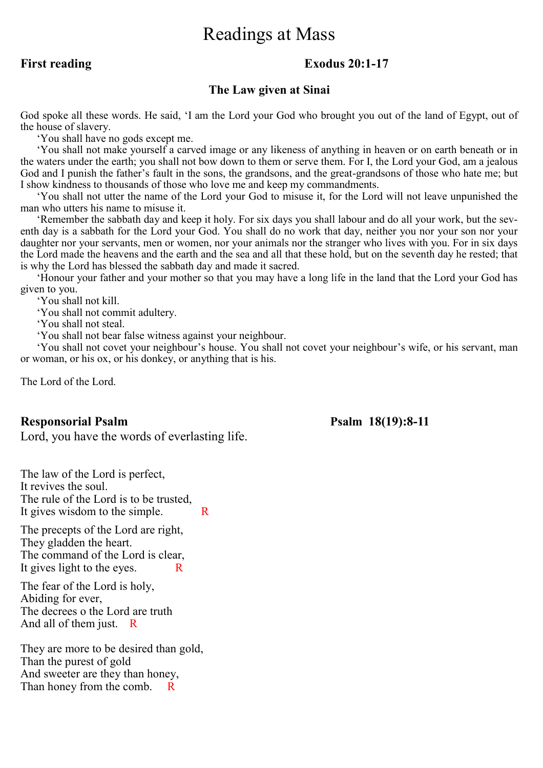# Readings at Mass

#### **First reading Exodus 20:1-17**

#### **The Law given at Sinai**

God spoke all these words. He said, 'I am the Lord your God who brought you out of the land of Egypt, out of the house of slavery.

'You shall have no gods except me.

 'You shall not make yourself a carved image or any likeness of anything in heaven or on earth beneath or in the waters under the earth; you shall not bow down to them or serve them. For I, the Lord your God, am a jealous God and I punish the father's fault in the sons, the grandsons, and the great-grandsons of those who hate me; but I show kindness to thousands of those who love me and keep my commandments.

 'You shall not utter the name of the Lord your God to misuse it, for the Lord will not leave unpunished the man who utters his name to misuse it.

 'Remember the sabbath day and keep it holy. For six days you shall labour and do all your work, but the seventh day is a sabbath for the Lord your God. You shall do no work that day, neither you nor your son nor your daughter nor your servants, men or women, nor your animals nor the stranger who lives with you. For in six days the Lord made the heavens and the earth and the sea and all that these hold, but on the seventh day he rested; that is why the Lord has blessed the sabbath day and made it sacred.

 'Honour your father and your mother so that you may have a long life in the land that the Lord your God has given to you.

'You shall not kill.

'You shall not commit adultery.

'You shall not steal.

'You shall not bear false witness against your neighbour.

 'You shall not covet your neighbour's house. You shall not covet your neighbour's wife, or his servant, man or woman, or his ox, or his donkey, or anything that is his.

The Lord of the Lord.

#### **Responsorial Psalm Psalm 18(19):8-11**

Lord, you have the words of everlasting life.

The law of the Lord is perfect, It revives the soul. The rule of the Lord is to be trusted, It gives wisdom to the simple.  $\blacksquare$  R

The precepts of the Lord are right, They gladden the heart. The command of the Lord is clear, It gives light to the eyes. R

The fear of the Lord is holy, Abiding for ever, The decrees o the Lord are truth And all of them just. R

They are more to be desired than gold, Than the purest of gold And sweeter are they than honey, Than honey from the comb.